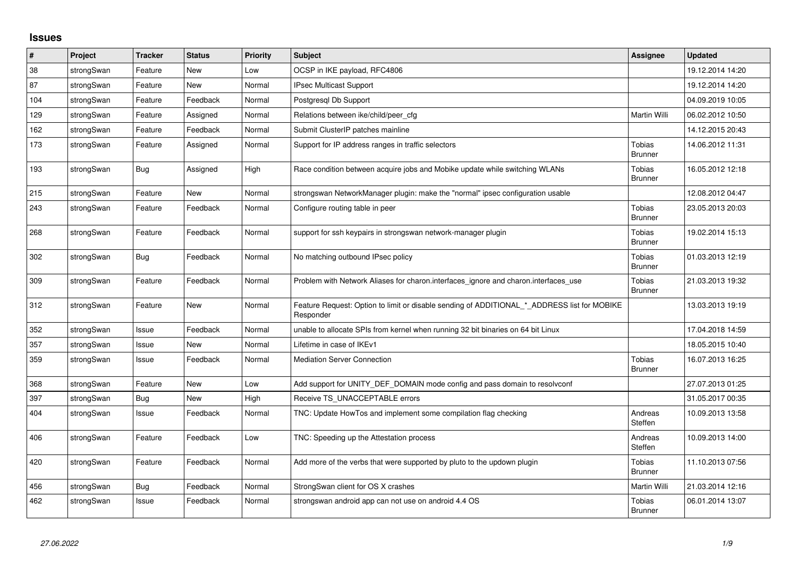## **Issues**

| #   | Project    | <b>Tracker</b> | <b>Status</b> | <b>Priority</b> | <b>Subject</b>                                                                                           | <b>Assignee</b>                 | <b>Updated</b>   |
|-----|------------|----------------|---------------|-----------------|----------------------------------------------------------------------------------------------------------|---------------------------------|------------------|
| 38  | strongSwan | Feature        | New           | Low             | OCSP in IKE payload, RFC4806                                                                             |                                 | 19.12.2014 14:20 |
| 87  | strongSwan | Feature        | New           | Normal          | IPsec Multicast Support                                                                                  |                                 | 19.12.2014 14:20 |
| 104 | strongSwan | Feature        | Feedback      | Normal          | Postgresgl Db Support                                                                                    |                                 | 04.09.2019 10:05 |
| 129 | strongSwan | Feature        | Assigned      | Normal          | Relations between ike/child/peer_cfg                                                                     | Martin Willi                    | 06.02.2012 10:50 |
| 162 | strongSwan | Feature        | Feedback      | Normal          | Submit ClusterIP patches mainline                                                                        |                                 | 14.12.2015 20:43 |
| 173 | strongSwan | Feature        | Assigned      | Normal          | Support for IP address ranges in traffic selectors                                                       | Tobias<br><b>Brunner</b>        | 14.06.2012 11:31 |
| 193 | strongSwan | <b>Bug</b>     | Assigned      | High            | Race condition between acquire jobs and Mobike update while switching WLANs                              | <b>Tobias</b><br><b>Brunner</b> | 16.05.2012 12:18 |
| 215 | strongSwan | Feature        | <b>New</b>    | Normal          | strongswan NetworkManager plugin: make the "normal" ipsec configuration usable                           |                                 | 12.08.2012 04:47 |
| 243 | strongSwan | Feature        | Feedback      | Normal          | Configure routing table in peer                                                                          | <b>Tobias</b><br><b>Brunner</b> | 23.05.2013 20:03 |
| 268 | strongSwan | Feature        | Feedback      | Normal          | support for ssh keypairs in strongswan network-manager plugin                                            | Tobias<br><b>Brunner</b>        | 19.02.2014 15:13 |
| 302 | strongSwan | <b>Bug</b>     | Feedback      | Normal          | No matching outbound IPsec policy                                                                        | Tobias<br><b>Brunner</b>        | 01.03.2013 12:19 |
| 309 | strongSwan | Feature        | Feedback      | Normal          | Problem with Network Aliases for charon.interfaces_ignore and charon.interfaces_use                      | Tobias<br><b>Brunner</b>        | 21.03.2013 19:32 |
| 312 | strongSwan | Feature        | New           | Normal          | Feature Request: Option to limit or disable sending of ADDITIONAL_*_ADDRESS list for MOBIKE<br>Responder |                                 | 13.03.2013 19:19 |
| 352 | strongSwan | Issue          | Feedback      | Normal          | unable to allocate SPIs from kernel when running 32 bit binaries on 64 bit Linux                         |                                 | 17.04.2018 14:59 |
| 357 | strongSwan | Issue          | <b>New</b>    | Normal          | Lifetime in case of IKEv1                                                                                |                                 | 18.05.2015 10:40 |
| 359 | strongSwan | Issue          | Feedback      | Normal          | <b>Mediation Server Connection</b>                                                                       | Tobias<br><b>Brunner</b>        | 16.07.2013 16:25 |
| 368 | strongSwan | Feature        | <b>New</b>    | Low             | Add support for UNITY_DEF_DOMAIN mode config and pass domain to resolvconf                               |                                 | 27.07.2013 01:25 |
| 397 | strongSwan | Bug            | New           | High            | Receive TS_UNACCEPTABLE errors                                                                           |                                 | 31.05.2017 00:35 |
| 404 | strongSwan | Issue          | Feedback      | Normal          | TNC: Update HowTos and implement some compilation flag checking                                          | Andreas<br>Steffen              | 10.09.2013 13:58 |
| 406 | strongSwan | Feature        | Feedback      | Low             | TNC: Speeding up the Attestation process                                                                 | Andreas<br>Steffen              | 10.09.2013 14:00 |
| 420 | strongSwan | Feature        | Feedback      | Normal          | Add more of the verbs that were supported by pluto to the updown plugin                                  | <b>Tobias</b><br><b>Brunner</b> | 11.10.2013 07:56 |
| 456 | strongSwan | Bug            | Feedback      | Normal          | StrongSwan client for OS X crashes                                                                       | Martin Willi                    | 21.03.2014 12:16 |
| 462 | strongSwan | Issue          | Feedback      | Normal          | strongswan android app can not use on android 4.4 OS                                                     | <b>Tobias</b><br><b>Brunner</b> | 06.01.2014 13:07 |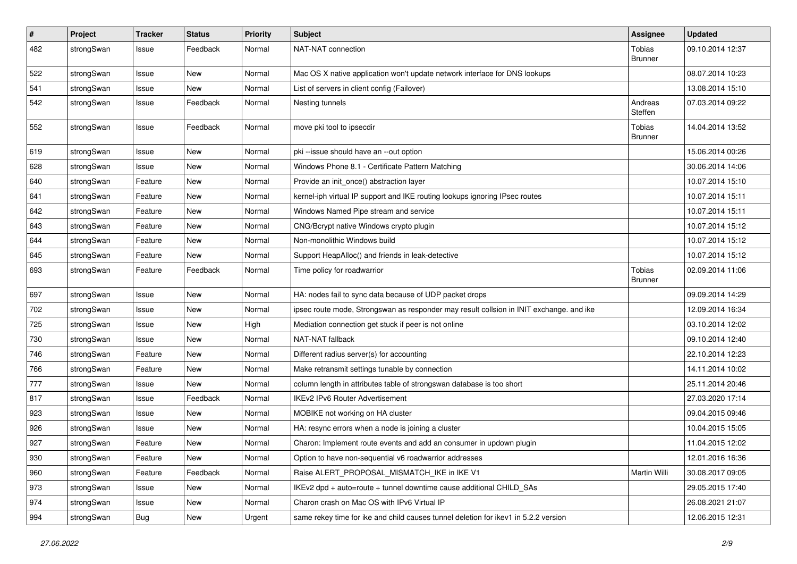| $\sharp$ | Project    | <b>Tracker</b> | <b>Status</b> | <b>Priority</b> | <b>Subject</b>                                                                          | <b>Assignee</b>          | <b>Updated</b>   |
|----------|------------|----------------|---------------|-----------------|-----------------------------------------------------------------------------------------|--------------------------|------------------|
| 482      | strongSwan | Issue          | Feedback      | Normal          | NAT-NAT connection                                                                      | Tobias<br><b>Brunner</b> | 09.10.2014 12:37 |
| 522      | strongSwan | Issue          | <b>New</b>    | Normal          | Mac OS X native application won't update network interface for DNS lookups              |                          | 08.07.2014 10:23 |
| 541      | strongSwan | Issue          | New           | Normal          | List of servers in client config (Failover)                                             |                          | 13.08.2014 15:10 |
| 542      | strongSwan | Issue          | Feedback      | Normal          | Nesting tunnels                                                                         | Andreas<br>Steffen       | 07.03.2014 09:22 |
| 552      | strongSwan | Issue          | Feedback      | Normal          | move pki tool to ipsecdir                                                               | Tobias<br><b>Brunner</b> | 14.04.2014 13:52 |
| 619      | strongSwan | Issue          | <b>New</b>    | Normal          | pki --issue should have an --out option                                                 |                          | 15.06.2014 00:26 |
| 628      | strongSwan | Issue          | <b>New</b>    | Normal          | Windows Phone 8.1 - Certificate Pattern Matching                                        |                          | 30.06.2014 14:06 |
| 640      | strongSwan | Feature        | New           | Normal          | Provide an init_once() abstraction layer                                                |                          | 10.07.2014 15:10 |
| 641      | strongSwan | Feature        | New           | Normal          | kernel-iph virtual IP support and IKE routing lookups ignoring IPsec routes             |                          | 10.07.2014 15:11 |
| 642      | strongSwan | Feature        | <b>New</b>    | Normal          | Windows Named Pipe stream and service                                                   |                          | 10.07.2014 15:11 |
| 643      | strongSwan | Feature        | New           | Normal          | CNG/Bcrypt native Windows crypto plugin                                                 |                          | 10.07.2014 15:12 |
| 644      | strongSwan | Feature        | New           | Normal          | Non-monolithic Windows build                                                            |                          | 10.07.2014 15:12 |
| 645      | strongSwan | Feature        | New           | Normal          | Support HeapAlloc() and friends in leak-detective                                       |                          | 10.07.2014 15:12 |
| 693      | strongSwan | Feature        | Feedback      | Normal          | Time policy for roadwarrior                                                             | Tobias<br><b>Brunner</b> | 02.09.2014 11:06 |
| 697      | strongSwan | Issue          | <b>New</b>    | Normal          | HA: nodes fail to sync data because of UDP packet drops                                 |                          | 09.09.2014 14:29 |
| 702      | strongSwan | Issue          | New           | Normal          | ipsec route mode, Strongswan as responder may result collsion in INIT exchange. and ike |                          | 12.09.2014 16:34 |
| 725      | strongSwan | Issue          | <b>New</b>    | High            | Mediation connection get stuck if peer is not online                                    |                          | 03.10.2014 12:02 |
| 730      | strongSwan | Issue          | New           | Normal          | NAT-NAT fallback                                                                        |                          | 09.10.2014 12:40 |
| 746      | strongSwan | Feature        | New           | Normal          | Different radius server(s) for accounting                                               |                          | 22.10.2014 12:23 |
| 766      | strongSwan | Feature        | New           | Normal          | Make retransmit settings tunable by connection                                          |                          | 14.11.2014 10:02 |
| 777      | strongSwan | Issue          | New           | Normal          | column length in attributes table of strongswan database is too short                   |                          | 25.11.2014 20:46 |
| 817      | strongSwan | Issue          | Feedback      | Normal          | <b>IKEv2 IPv6 Router Advertisement</b>                                                  |                          | 27.03.2020 17:14 |
| 923      | strongSwan | Issue          | New           | Normal          | MOBIKE not working on HA cluster                                                        |                          | 09.04.2015 09:46 |
| 926      | strongSwan | Issue          | <b>New</b>    | Normal          | HA: resync errors when a node is joining a cluster                                      |                          | 10.04.2015 15:05 |
| 927      | strongSwan | Feature        | New           | Normal          | Charon: Implement route events and add an consumer in updown plugin                     |                          | 11.04.2015 12:02 |
| 930      | strongSwan | Feature        | New           | Normal          | Option to have non-sequential v6 roadwarrior addresses                                  |                          | 12.01.2016 16:36 |
| 960      | strongSwan | Feature        | Feedback      | Normal          | Raise ALERT_PROPOSAL_MISMATCH_IKE in IKE V1                                             | Martin Willi             | 30.08.2017 09:05 |
| 973      | strongSwan | Issue          | New           | Normal          | IKEv2 dpd + auto=route + tunnel downtime cause additional CHILD SAs                     |                          | 29.05.2015 17:40 |
| 974      | strongSwan | Issue          | New           | Normal          | Charon crash on Mac OS with IPv6 Virtual IP                                             |                          | 26.08.2021 21:07 |
| 994      | strongSwan | Bug            | New           | Urgent          | same rekey time for ike and child causes tunnel deletion for ikey1 in 5.2.2 version     |                          | 12.06.2015 12:31 |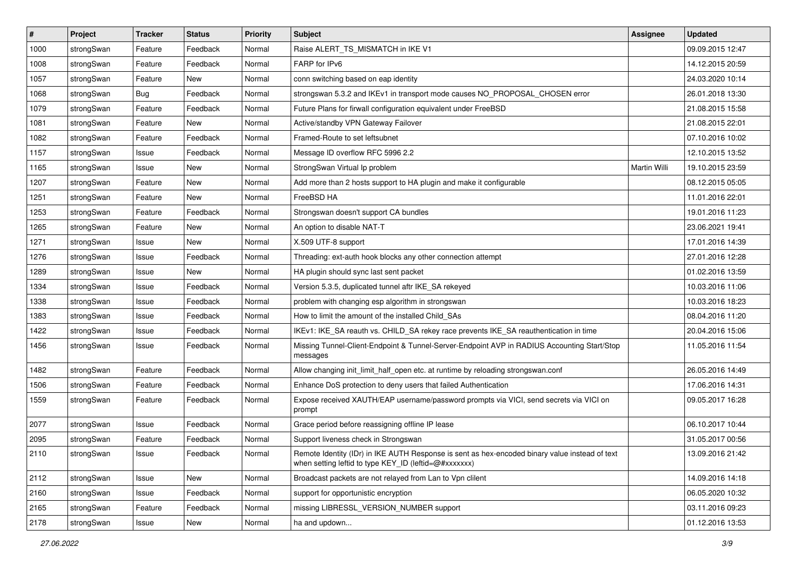| $\vert$ # | Project    | <b>Tracker</b> | <b>Status</b> | <b>Priority</b> | <b>Subject</b>                                                                                                                                          | <b>Assignee</b> | <b>Updated</b>   |
|-----------|------------|----------------|---------------|-----------------|---------------------------------------------------------------------------------------------------------------------------------------------------------|-----------------|------------------|
| 1000      | strongSwan | Feature        | Feedback      | Normal          | Raise ALERT_TS_MISMATCH in IKE V1                                                                                                                       |                 | 09.09.2015 12:47 |
| 1008      | strongSwan | Feature        | Feedback      | Normal          | FARP for IPv6                                                                                                                                           |                 | 14.12.2015 20:59 |
| 1057      | strongSwan | Feature        | New           | Normal          | conn switching based on eap identity                                                                                                                    |                 | 24.03.2020 10:14 |
| 1068      | strongSwan | <b>Bug</b>     | Feedback      | Normal          | strongswan 5.3.2 and IKEv1 in transport mode causes NO_PROPOSAL_CHOSEN error                                                                            |                 | 26.01.2018 13:30 |
| 1079      | strongSwan | Feature        | Feedback      | Normal          | Future Plans for firwall configuration equivalent under FreeBSD                                                                                         |                 | 21.08.2015 15:58 |
| 1081      | strongSwan | Feature        | New           | Normal          | Active/standby VPN Gateway Failover                                                                                                                     |                 | 21.08.2015 22:01 |
| 1082      | strongSwan | Feature        | Feedback      | Normal          | Framed-Route to set leftsubnet                                                                                                                          |                 | 07.10.2016 10:02 |
| 1157      | strongSwan | Issue          | Feedback      | Normal          | Message ID overflow RFC 5996 2.2                                                                                                                        |                 | 12.10.2015 13:52 |
| 1165      | strongSwan | Issue          | <b>New</b>    | Normal          | StrongSwan Virtual Ip problem                                                                                                                           | Martin Willi    | 19.10.2015 23:59 |
| 1207      | strongSwan | Feature        | New           | Normal          | Add more than 2 hosts support to HA plugin and make it configurable                                                                                     |                 | 08.12.2015 05:05 |
| 1251      | strongSwan | Feature        | New           | Normal          | FreeBSD HA                                                                                                                                              |                 | 11.01.2016 22:01 |
| 1253      | strongSwan | Feature        | Feedback      | Normal          | Strongswan doesn't support CA bundles                                                                                                                   |                 | 19.01.2016 11:23 |
| 1265      | strongSwan | Feature        | New           | Normal          | An option to disable NAT-T                                                                                                                              |                 | 23.06.2021 19:41 |
| 1271      | strongSwan | Issue          | <b>New</b>    | Normal          | X.509 UTF-8 support                                                                                                                                     |                 | 17.01.2016 14:39 |
| 1276      | strongSwan | Issue          | Feedback      | Normal          | Threading: ext-auth hook blocks any other connection attempt                                                                                            |                 | 27.01.2016 12:28 |
| 1289      | strongSwan | Issue          | New           | Normal          | HA plugin should sync last sent packet                                                                                                                  |                 | 01.02.2016 13:59 |
| 1334      | strongSwan | Issue          | Feedback      | Normal          | Version 5.3.5, duplicated tunnel aftr IKE_SA rekeyed                                                                                                    |                 | 10.03.2016 11:06 |
| 1338      | strongSwan | Issue          | Feedback      | Normal          | problem with changing esp algorithm in strongswan                                                                                                       |                 | 10.03.2016 18:23 |
| 1383      | strongSwan | Issue          | Feedback      | Normal          | How to limit the amount of the installed Child_SAs                                                                                                      |                 | 08.04.2016 11:20 |
| 1422      | strongSwan | Issue          | Feedback      | Normal          | IKEv1: IKE_SA reauth vs. CHILD_SA rekey race prevents IKE_SA reauthentication in time                                                                   |                 | 20.04.2016 15:06 |
| 1456      | strongSwan | Issue          | Feedback      | Normal          | Missing Tunnel-Client-Endpoint & Tunnel-Server-Endpoint AVP in RADIUS Accounting Start/Stop<br>messages                                                 |                 | 11.05.2016 11:54 |
| 1482      | strongSwan | Feature        | Feedback      | Normal          | Allow changing init_limit_half_open etc. at runtime by reloading strongswan.conf                                                                        |                 | 26.05.2016 14:49 |
| 1506      | strongSwan | Feature        | Feedback      | Normal          | Enhance DoS protection to deny users that failed Authentication                                                                                         |                 | 17.06.2016 14:31 |
| 1559      | strongSwan | Feature        | Feedback      | Normal          | Expose received XAUTH/EAP username/password prompts via VICI, send secrets via VICI on<br>prompt                                                        |                 | 09.05.2017 16:28 |
| 2077      | strongSwan | Issue          | Feedback      | Normal          | Grace period before reassigning offline IP lease                                                                                                        |                 | 06.10.2017 10:44 |
| 2095      | strongSwan | Feature        | Feedback      | Normal          | Support liveness check in Strongswan                                                                                                                    |                 | 31.05.2017 00:56 |
| 2110      | strongSwan | Issue          | Feedback      | Normal          | Remote Identity (IDr) in IKE AUTH Response is sent as hex-encoded binary value instead of text<br>when setting leftid to type KEY_ID (leftid=@#xxxxxxx) |                 | 13.09.2016 21:42 |
| 2112      | strongSwan | Issue          | New           | Normal          | Broadcast packets are not relayed from Lan to Vpn clilent                                                                                               |                 | 14.09.2016 14:18 |
| 2160      | strongSwan | Issue          | Feedback      | Normal          | support for opportunistic encryption                                                                                                                    |                 | 06.05.2020 10:32 |
| 2165      | strongSwan | Feature        | Feedback      | Normal          | missing LIBRESSL VERSION NUMBER support                                                                                                                 |                 | 03.11.2016 09:23 |
| 2178      | strongSwan | Issue          | New           | Normal          | ha and updown                                                                                                                                           |                 | 01.12.2016 13:53 |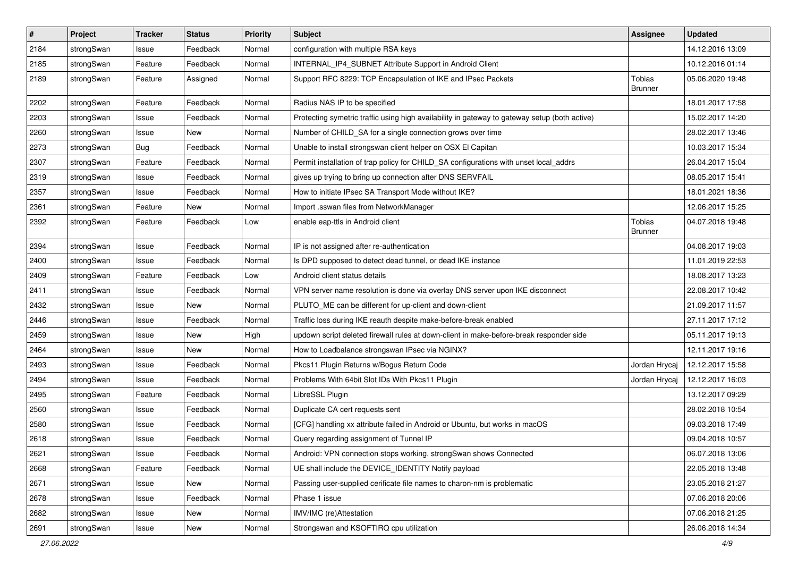| $\pmb{\#}$ | Project    | <b>Tracker</b> | <b>Status</b> | <b>Priority</b> | <b>Subject</b>                                                                                | <b>Assignee</b>   | <b>Updated</b>   |
|------------|------------|----------------|---------------|-----------------|-----------------------------------------------------------------------------------------------|-------------------|------------------|
| 2184       | strongSwan | Issue          | Feedback      | Normal          | configuration with multiple RSA keys                                                          |                   | 14.12.2016 13:09 |
| 2185       | strongSwan | Feature        | Feedback      | Normal          | INTERNAL_IP4_SUBNET Attribute Support in Android Client                                       |                   | 10.12.2016 01:14 |
| 2189       | strongSwan | Feature        | Assigned      | Normal          | Support RFC 8229: TCP Encapsulation of IKE and IPsec Packets                                  | Tobias<br>Brunner | 05.06.2020 19:48 |
| 2202       | strongSwan | Feature        | Feedback      | Normal          | Radius NAS IP to be specified                                                                 |                   | 18.01.2017 17:58 |
| 2203       | strongSwan | Issue          | Feedback      | Normal          | Protecting symetric traffic using high availability in gateway to gateway setup (both active) |                   | 15.02.2017 14:20 |
| 2260       | strongSwan | Issue          | New           | Normal          | Number of CHILD_SA for a single connection grows over time                                    |                   | 28.02.2017 13:46 |
| 2273       | strongSwan | <b>Bug</b>     | Feedback      | Normal          | Unable to install strongswan client helper on OSX El Capitan                                  |                   | 10.03.2017 15:34 |
| 2307       | strongSwan | Feature        | Feedback      | Normal          | Permit installation of trap policy for CHILD_SA configurations with unset local_addrs         |                   | 26.04.2017 15:04 |
| 2319       | strongSwan | Issue          | Feedback      | Normal          | gives up trying to bring up connection after DNS SERVFAIL                                     |                   | 08.05.2017 15:41 |
| 2357       | strongSwan | Issue          | Feedback      | Normal          | How to initiate IPsec SA Transport Mode without IKE?                                          |                   | 18.01.2021 18:36 |
| 2361       | strongSwan | Feature        | New           | Normal          | Import .sswan files from NetworkManager                                                       |                   | 12.06.2017 15:25 |
| 2392       | strongSwan | Feature        | Feedback      | Low             | enable eap-ttls in Android client                                                             | Tobias<br>Brunner | 04.07.2018 19:48 |
| 2394       | strongSwan | Issue          | Feedback      | Normal          | IP is not assigned after re-authentication                                                    |                   | 04.08.2017 19:03 |
| 2400       | strongSwan | Issue          | Feedback      | Normal          | Is DPD supposed to detect dead tunnel, or dead IKE instance                                   |                   | 11.01.2019 22:53 |
| 2409       | strongSwan | Feature        | Feedback      | Low             | Android client status details                                                                 |                   | 18.08.2017 13:23 |
| 2411       | strongSwan | Issue          | Feedback      | Normal          | VPN server name resolution is done via overlay DNS server upon IKE disconnect                 |                   | 22.08.2017 10:42 |
| 2432       | strongSwan | Issue          | New           | Normal          | PLUTO_ME can be different for up-client and down-client                                       |                   | 21.09.2017 11:57 |
| 2446       | strongSwan | Issue          | Feedback      | Normal          | Traffic loss during IKE reauth despite make-before-break enabled                              |                   | 27.11.2017 17:12 |
| 2459       | strongSwan | Issue          | New           | High            | updown script deleted firewall rules at down-client in make-before-break responder side       |                   | 05.11.2017 19:13 |
| 2464       | strongSwan | Issue          | New           | Normal          | How to Loadbalance strongswan IPsec via NGINX?                                                |                   | 12.11.2017 19:16 |
| 2493       | strongSwan | Issue          | Feedback      | Normal          | Pkcs11 Plugin Returns w/Bogus Return Code                                                     | Jordan Hrycaj     | 12.12.2017 15:58 |
| 2494       | strongSwan | Issue          | Feedback      | Normal          | Problems With 64bit Slot IDs With Pkcs11 Plugin                                               | Jordan Hrycaj     | 12.12.2017 16:03 |
| 2495       | strongSwan | Feature        | Feedback      | Normal          | LibreSSL Plugin                                                                               |                   | 13.12.2017 09:29 |
| 2560       | strongSwan | Issue          | Feedback      | Normal          | Duplicate CA cert requests sent                                                               |                   | 28.02.2018 10:54 |
| 2580       | strongSwan | Issue          | Feedback      | Normal          | [CFG] handling xx attribute failed in Android or Ubuntu, but works in macOS                   |                   | 09.03.2018 17:49 |
| 2618       | strongSwan | Issue          | Feedback      | Normal          | Query regarding assignment of Tunnel IP                                                       |                   | 09.04.2018 10:57 |
| 2621       | strongSwan | Issue          | Feedback      | Normal          | Android: VPN connection stops working, strongSwan shows Connected                             |                   | 06.07.2018 13:06 |
| 2668       | strongSwan | Feature        | Feedback      | Normal          | UE shall include the DEVICE_IDENTITY Notify payload                                           |                   | 22.05.2018 13:48 |
| 2671       | strongSwan | Issue          | New           | Normal          | Passing user-supplied cerificate file names to charon-nm is problematic                       |                   | 23.05.2018 21:27 |
| 2678       | strongSwan | Issue          | Feedback      | Normal          | Phase 1 issue                                                                                 |                   | 07.06.2018 20:06 |
| 2682       | strongSwan | Issue          | New           | Normal          | IMV/IMC (re)Attestation                                                                       |                   | 07.06.2018 21:25 |
| 2691       | strongSwan | Issue          | New           | Normal          | Strongswan and KSOFTIRQ cpu utilization                                                       |                   | 26.06.2018 14:34 |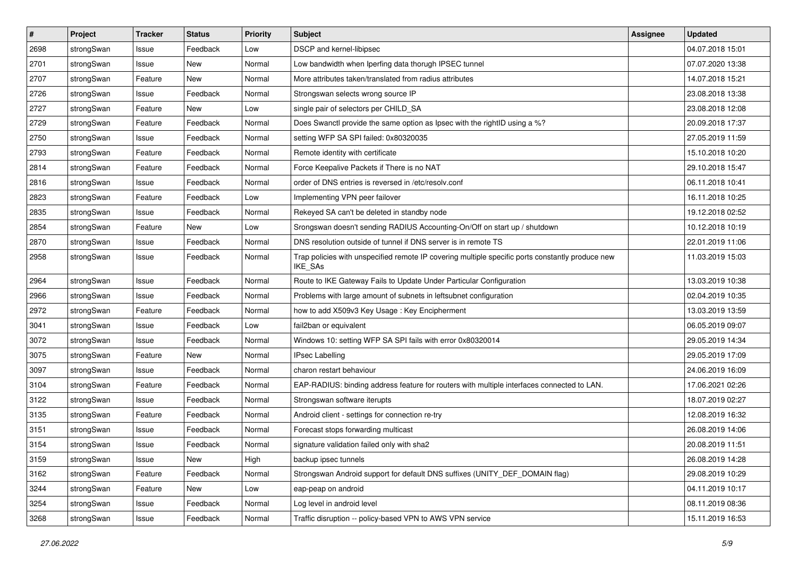| $\pmb{\#}$ | Project    | <b>Tracker</b> | <b>Status</b> | <b>Priority</b> | <b>Subject</b>                                                                                              | <b>Assignee</b> | <b>Updated</b>   |
|------------|------------|----------------|---------------|-----------------|-------------------------------------------------------------------------------------------------------------|-----------------|------------------|
| 2698       | strongSwan | Issue          | Feedback      | Low             | DSCP and kernel-libipsec                                                                                    |                 | 04.07.2018 15:01 |
| 2701       | strongSwan | Issue          | New           | Normal          | Low bandwidth when Iperfing data thorugh IPSEC tunnel                                                       |                 | 07.07.2020 13:38 |
| 2707       | strongSwan | Feature        | New           | Normal          | More attributes taken/translated from radius attributes                                                     |                 | 14.07.2018 15:21 |
| 2726       | strongSwan | Issue          | Feedback      | Normal          | Strongswan selects wrong source IP                                                                          |                 | 23.08.2018 13:38 |
| 2727       | strongSwan | Feature        | New           | Low             | single pair of selectors per CHILD_SA                                                                       |                 | 23.08.2018 12:08 |
| 2729       | strongSwan | Feature        | Feedback      | Normal          | Does Swanctl provide the same option as Ipsec with the rightID using a %?                                   |                 | 20.09.2018 17:37 |
| 2750       | strongSwan | Issue          | Feedback      | Normal          | setting WFP SA SPI failed: 0x80320035                                                                       |                 | 27.05.2019 11:59 |
| 2793       | strongSwan | Feature        | Feedback      | Normal          | Remote identity with certificate                                                                            |                 | 15.10.2018 10:20 |
| 2814       | strongSwan | Feature        | Feedback      | Normal          | Force Keepalive Packets if There is no NAT                                                                  |                 | 29.10.2018 15:47 |
| 2816       | strongSwan | Issue          | Feedback      | Normal          | order of DNS entries is reversed in /etc/resolv.conf                                                        |                 | 06.11.2018 10:41 |
| 2823       | strongSwan | Feature        | Feedback      | Low             | Implementing VPN peer failover                                                                              |                 | 16.11.2018 10:25 |
| 2835       | strongSwan | Issue          | Feedback      | Normal          | Rekeyed SA can't be deleted in standby node                                                                 |                 | 19.12.2018 02:52 |
| 2854       | strongSwan | Feature        | New           | Low             | Srongswan doesn't sending RADIUS Accounting-On/Off on start up / shutdown                                   |                 | 10.12.2018 10:19 |
| 2870       | strongSwan | Issue          | Feedback      | Normal          | DNS resolution outside of tunnel if DNS server is in remote TS                                              |                 | 22.01.2019 11:06 |
| 2958       | strongSwan | Issue          | Feedback      | Normal          | Trap policies with unspecified remote IP covering multiple specific ports constantly produce new<br>IKE_SAs |                 | 11.03.2019 15:03 |
| 2964       | strongSwan | Issue          | Feedback      | Normal          | Route to IKE Gateway Fails to Update Under Particular Configuration                                         |                 | 13.03.2019 10:38 |
| 2966       | strongSwan | Issue          | Feedback      | Normal          | Problems with large amount of subnets in leftsubnet configuration                                           |                 | 02.04.2019 10:35 |
| 2972       | strongSwan | Feature        | Feedback      | Normal          | how to add X509v3 Key Usage: Key Encipherment                                                               |                 | 13.03.2019 13:59 |
| 3041       | strongSwan | Issue          | Feedback      | Low             | fail2ban or equivalent                                                                                      |                 | 06.05.2019 09:07 |
| 3072       | strongSwan | Issue          | Feedback      | Normal          | Windows 10: setting WFP SA SPI fails with error 0x80320014                                                  |                 | 29.05.2019 14:34 |
| 3075       | strongSwan | Feature        | New           | Normal          | <b>IPsec Labelling</b>                                                                                      |                 | 29.05.2019 17:09 |
| 3097       | strongSwan | Issue          | Feedback      | Normal          | charon restart behaviour                                                                                    |                 | 24.06.2019 16:09 |
| 3104       | strongSwan | Feature        | Feedback      | Normal          | EAP-RADIUS: binding address feature for routers with multiple interfaces connected to LAN.                  |                 | 17.06.2021 02:26 |
| 3122       | strongSwan | Issue          | Feedback      | Normal          | Strongswan software iterupts                                                                                |                 | 18.07.2019 02:27 |
| 3135       | strongSwan | Feature        | Feedback      | Normal          | Android client - settings for connection re-try                                                             |                 | 12.08.2019 16:32 |
| 3151       | strongSwan | Issue          | Feedback      | Normal          | Forecast stops forwarding multicast                                                                         |                 | 26.08.2019 14:06 |
| 3154       | strongSwan | Issue          | Feedback      | Normal          | signature validation failed only with sha2                                                                  |                 | 20.08.2019 11:51 |
| 3159       | strongSwan | Issue          | New           | High            | backup ipsec tunnels                                                                                        |                 | 26.08.2019 14:28 |
| 3162       | strongSwan | Feature        | Feedback      | Normal          | Strongswan Android support for default DNS suffixes (UNITY DEF DOMAIN flag)                                 |                 | 29.08.2019 10:29 |
| 3244       | strongSwan | Feature        | New           | Low             | eap-peap on android                                                                                         |                 | 04.11.2019 10:17 |
| 3254       | strongSwan | Issue          | Feedback      | Normal          | Log level in android level                                                                                  |                 | 08.11.2019 08:36 |
| 3268       | strongSwan | Issue          | Feedback      | Normal          | Traffic disruption -- policy-based VPN to AWS VPN service                                                   |                 | 15.11.2019 16:53 |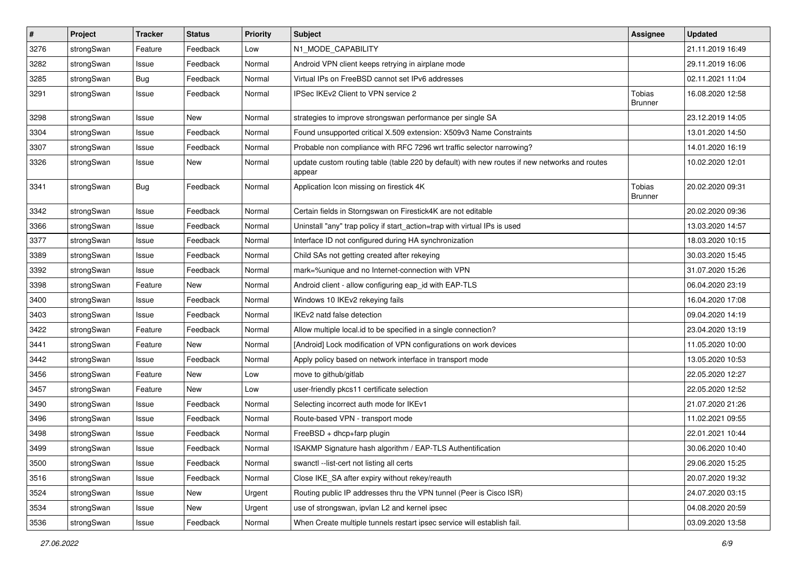| $\vert$ # | Project    | <b>Tracker</b> | <b>Status</b> | <b>Priority</b> | Subject                                                                                                 | <b>Assignee</b>                 | <b>Updated</b>   |
|-----------|------------|----------------|---------------|-----------------|---------------------------------------------------------------------------------------------------------|---------------------------------|------------------|
| 3276      | strongSwan | Feature        | Feedback      | Low             | N1_MODE_CAPABILITY                                                                                      |                                 | 21.11.2019 16:49 |
| 3282      | strongSwan | Issue          | Feedback      | Normal          | Android VPN client keeps retrying in airplane mode                                                      |                                 | 29.11.2019 16:06 |
| 3285      | strongSwan | <b>Bug</b>     | Feedback      | Normal          | Virtual IPs on FreeBSD cannot set IPv6 addresses                                                        |                                 | 02.11.2021 11:04 |
| 3291      | strongSwan | Issue          | Feedback      | Normal          | IPSec IKEv2 Client to VPN service 2                                                                     | <b>Tobias</b><br><b>Brunner</b> | 16.08.2020 12:58 |
| 3298      | strongSwan | Issue          | New           | Normal          | strategies to improve strongswan performance per single SA                                              |                                 | 23.12.2019 14:05 |
| 3304      | strongSwan | Issue          | Feedback      | Normal          | Found unsupported critical X.509 extension: X509v3 Name Constraints                                     |                                 | 13.01.2020 14:50 |
| 3307      | strongSwan | Issue          | Feedback      | Normal          | Probable non compliance with RFC 7296 wrt traffic selector narrowing?                                   |                                 | 14.01.2020 16:19 |
| 3326      | strongSwan | Issue          | New           | Normal          | update custom routing table (table 220 by default) with new routes if new networks and routes<br>appear |                                 | 10.02.2020 12:01 |
| 3341      | strongSwan | Bug            | Feedback      | Normal          | Application Icon missing on firestick 4K                                                                | Tobias<br><b>Brunner</b>        | 20.02.2020 09:31 |
| 3342      | strongSwan | Issue          | Feedback      | Normal          | Certain fields in Storngswan on Firestick4K are not editable                                            |                                 | 20.02.2020 09:36 |
| 3366      | strongSwan | Issue          | Feedback      | Normal          | Uninstall "any" trap policy if start_action=trap with virtual IPs is used                               |                                 | 13.03.2020 14:57 |
| 3377      | strongSwan | Issue          | Feedback      | Normal          | Interface ID not configured during HA synchronization                                                   |                                 | 18.03.2020 10:15 |
| 3389      | strongSwan | Issue          | Feedback      | Normal          | Child SAs not getting created after rekeying                                                            |                                 | 30.03.2020 15:45 |
| 3392      | strongSwan | Issue          | Feedback      | Normal          | mark=%unique and no Internet-connection with VPN                                                        |                                 | 31.07.2020 15:26 |
| 3398      | strongSwan | Feature        | New           | Normal          | Android client - allow configuring eap_id with EAP-TLS                                                  |                                 | 06.04.2020 23:19 |
| 3400      | strongSwan | Issue          | Feedback      | Normal          | Windows 10 IKEv2 rekeying fails                                                                         |                                 | 16.04.2020 17:08 |
| 3403      | strongSwan | Issue          | Feedback      | Normal          | IKEv2 natd false detection                                                                              |                                 | 09.04.2020 14:19 |
| 3422      | strongSwan | Feature        | Feedback      | Normal          | Allow multiple local.id to be specified in a single connection?                                         |                                 | 23.04.2020 13:19 |
| 3441      | strongSwan | Feature        | New           | Normal          | [Android] Lock modification of VPN configurations on work devices                                       |                                 | 11.05.2020 10:00 |
| 3442      | strongSwan | Issue          | Feedback      | Normal          | Apply policy based on network interface in transport mode                                               |                                 | 13.05.2020 10:53 |
| 3456      | strongSwan | Feature        | New           | Low             | move to github/gitlab                                                                                   |                                 | 22.05.2020 12:27 |
| 3457      | strongSwan | Feature        | New           | Low             | user-friendly pkcs11 certificate selection                                                              |                                 | 22.05.2020 12:52 |
| 3490      | strongSwan | Issue          | Feedback      | Normal          | Selecting incorrect auth mode for IKEv1                                                                 |                                 | 21.07.2020 21:26 |
| 3496      | strongSwan | Issue          | Feedback      | Normal          | Route-based VPN - transport mode                                                                        |                                 | 11.02.2021 09:55 |
| 3498      | strongSwan | Issue          | Feedback      | Normal          | FreeBSD + dhcp+farp plugin                                                                              |                                 | 22.01.2021 10:44 |
| 3499      | strongSwan | Issue          | Feedback      | Normal          | ISAKMP Signature hash algorithm / EAP-TLS Authentification                                              |                                 | 30.06.2020 10:40 |
| 3500      | strongSwan | Issue          | Feedback      | Normal          | swanctl --list-cert not listing all certs                                                               |                                 | 29.06.2020 15:25 |
| 3516      | strongSwan | Issue          | Feedback      | Normal          | Close IKE SA after expiry without rekey/reauth                                                          |                                 | 20.07.2020 19:32 |
| 3524      | strongSwan | Issue          | New           | Urgent          | Routing public IP addresses thru the VPN tunnel (Peer is Cisco ISR)                                     |                                 | 24.07.2020 03:15 |
| 3534      | strongSwan | Issue          | New           | Urgent          | use of strongswan, ipvlan L2 and kernel ipsec                                                           |                                 | 04.08.2020 20:59 |
| 3536      | strongSwan | Issue          | Feedback      | Normal          | When Create multiple tunnels restart ipsec service will establish fail.                                 |                                 | 03.09.2020 13:58 |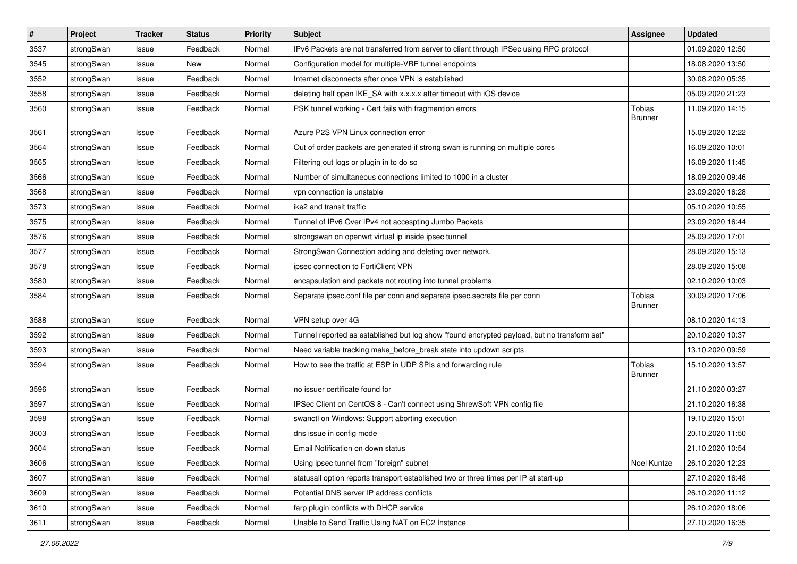| #    | Project    | <b>Tracker</b> | <b>Status</b> | <b>Priority</b> | <b>Subject</b>                                                                              | <b>Assignee</b>          | <b>Updated</b>   |
|------|------------|----------------|---------------|-----------------|---------------------------------------------------------------------------------------------|--------------------------|------------------|
| 3537 | strongSwan | Issue          | Feedback      | Normal          | IPv6 Packets are not transferred from server to client through IPSec using RPC protocol     |                          | 01.09.2020 12:50 |
| 3545 | strongSwan | Issue          | New           | Normal          | Configuration model for multiple-VRF tunnel endpoints                                       |                          | 18.08.2020 13:50 |
| 3552 | strongSwan | Issue          | Feedback      | Normal          | Internet disconnects after once VPN is established                                          |                          | 30.08.2020 05:35 |
| 3558 | strongSwan | Issue          | Feedback      | Normal          | deleting half open IKE_SA with x.x.x.x after timeout with iOS device                        |                          | 05.09.2020 21:23 |
| 3560 | strongSwan | Issue          | Feedback      | Normal          | PSK tunnel working - Cert fails with fragmention errors                                     | Tobias<br><b>Brunner</b> | 11.09.2020 14:15 |
| 3561 | strongSwan | Issue          | Feedback      | Normal          | Azure P2S VPN Linux connection error                                                        |                          | 15.09.2020 12:22 |
| 3564 | strongSwan | Issue          | Feedback      | Normal          | Out of order packets are generated if strong swan is running on multiple cores              |                          | 16.09.2020 10:01 |
| 3565 | strongSwan | Issue          | Feedback      | Normal          | Filtering out logs or plugin in to do so                                                    |                          | 16.09.2020 11:45 |
| 3566 | strongSwan | Issue          | Feedback      | Normal          | Number of simultaneous connections limited to 1000 in a cluster                             |                          | 18.09.2020 09:46 |
| 3568 | strongSwan | Issue          | Feedback      | Normal          | vpn connection is unstable                                                                  |                          | 23.09.2020 16:28 |
| 3573 | strongSwan | Issue          | Feedback      | Normal          | ike2 and transit traffic                                                                    |                          | 05.10.2020 10:55 |
| 3575 | strongSwan | Issue          | Feedback      | Normal          | Tunnel of IPv6 Over IPv4 not accespting Jumbo Packets                                       |                          | 23.09.2020 16:44 |
| 3576 | strongSwan | Issue          | Feedback      | Normal          | strongswan on openwrt virtual ip inside ipsec tunnel                                        |                          | 25.09.2020 17:01 |
| 3577 | strongSwan | Issue          | Feedback      | Normal          | StrongSwan Connection adding and deleting over network.                                     |                          | 28.09.2020 15:13 |
| 3578 | strongSwan | Issue          | Feedback      | Normal          | ipsec connection to FortiClient VPN                                                         |                          | 28.09.2020 15:08 |
| 3580 | strongSwan | Issue          | Feedback      | Normal          | encapsulation and packets not routing into tunnel problems                                  |                          | 02.10.2020 10:03 |
| 3584 | strongSwan | Issue          | Feedback      | Normal          | Separate ipsec.conf file per conn and separate ipsec.secrets file per conn                  | Tobias<br><b>Brunner</b> | 30.09.2020 17:06 |
| 3588 | strongSwan | Issue          | Feedback      | Normal          | VPN setup over 4G                                                                           |                          | 08.10.2020 14:13 |
| 3592 | strongSwan | Issue          | Feedback      | Normal          | Tunnel reported as established but log show "found encrypted payload, but no transform set" |                          | 20.10.2020 10:37 |
| 3593 | strongSwan | Issue          | Feedback      | Normal          | Need variable tracking make_before_break state into updown scripts                          |                          | 13.10.2020 09:59 |
| 3594 | strongSwan | Issue          | Feedback      | Normal          | How to see the traffic at ESP in UDP SPIs and forwarding rule                               | Tobias<br><b>Brunner</b> | 15.10.2020 13:57 |
| 3596 | strongSwan | Issue          | Feedback      | Normal          | no issuer certificate found for                                                             |                          | 21.10.2020 03:27 |
| 3597 | strongSwan | Issue          | Feedback      | Normal          | IPSec Client on CentOS 8 - Can't connect using ShrewSoft VPN config file                    |                          | 21.10.2020 16:38 |
| 3598 | strongSwan | Issue          | Feedback      | Normal          | swanctl on Windows: Support aborting execution                                              |                          | 19.10.2020 15:01 |
| 3603 | strongSwan | Issue          | Feedback      | Normal          | dns issue in config mode                                                                    |                          | 20.10.2020 11:50 |
| 3604 | strongSwan | Issue          | Feedback      | Normal          | Email Notification on down status                                                           |                          | 21.10.2020 10:54 |
| 3606 | strongSwan | Issue          | Feedback      | Normal          | Using ipsec tunnel from "foreign" subnet                                                    | Noel Kuntze              | 26.10.2020 12:23 |
| 3607 | strongSwan | Issue          | Feedback      | Normal          | statusall option reports transport established two or three times per IP at start-up        |                          | 27.10.2020 16:48 |
| 3609 | strongSwan | Issue          | Feedback      | Normal          | Potential DNS server IP address conflicts                                                   |                          | 26.10.2020 11:12 |
| 3610 | strongSwan | Issue          | Feedback      | Normal          | farp plugin conflicts with DHCP service                                                     |                          | 26.10.2020 18:06 |
| 3611 | strongSwan | Issue          | Feedback      | Normal          | Unable to Send Traffic Using NAT on EC2 Instance                                            |                          | 27.10.2020 16:35 |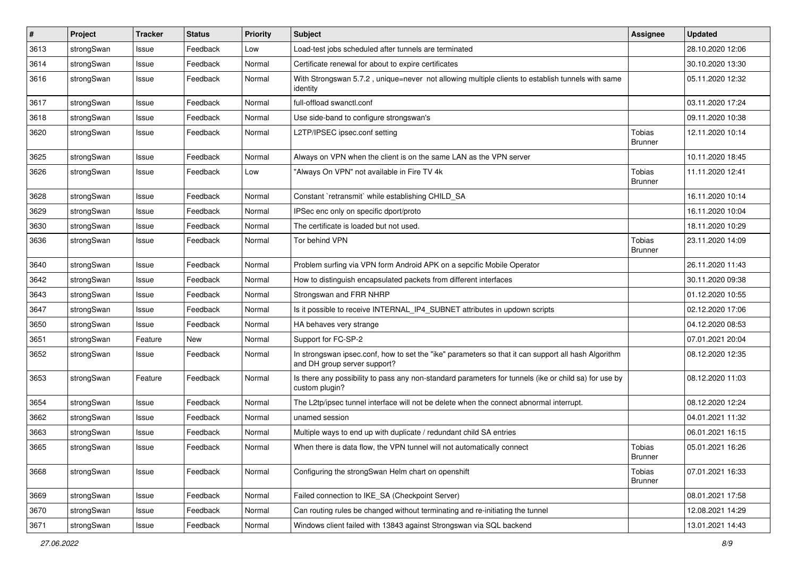| $\vert$ # | Project    | <b>Tracker</b> | <b>Status</b> | <b>Priority</b> | <b>Subject</b>                                                                                                                      | <b>Assignee</b>          | <b>Updated</b>   |
|-----------|------------|----------------|---------------|-----------------|-------------------------------------------------------------------------------------------------------------------------------------|--------------------------|------------------|
| 3613      | strongSwan | Issue          | Feedback      | Low             | Load-test jobs scheduled after tunnels are terminated                                                                               |                          | 28.10.2020 12:06 |
| 3614      | strongSwan | Issue          | Feedback      | Normal          | Certificate renewal for about to expire certificates                                                                                |                          | 30.10.2020 13:30 |
| 3616      | strongSwan | Issue          | Feedback      | Normal          | With Strongswan 5.7.2, unique=never not allowing multiple clients to establish tunnels with same<br>identity                        |                          | 05.11.2020 12:32 |
| 3617      | strongSwan | Issue          | Feedback      | Normal          | full-offload swanctl.conf                                                                                                           |                          | 03.11.2020 17:24 |
| 3618      | strongSwan | Issue          | Feedback      | Normal          | Use side-band to configure strongswan's                                                                                             |                          | 09.11.2020 10:38 |
| 3620      | strongSwan | Issue          | Feedback      | Normal          | L2TP/IPSEC ipsec.conf setting                                                                                                       | Tobias<br><b>Brunner</b> | 12.11.2020 10:14 |
| 3625      | strongSwan | Issue          | Feedback      | Normal          | Always on VPN when the client is on the same LAN as the VPN server                                                                  |                          | 10.11.2020 18:45 |
| 3626      | strongSwan | Issue          | Feedback      | Low             | "Always On VPN" not available in Fire TV 4k                                                                                         | Tobias<br><b>Brunner</b> | 11.11.2020 12:41 |
| 3628      | strongSwan | Issue          | Feedback      | Normal          | Constant `retransmit` while establishing CHILD_SA                                                                                   |                          | 16.11.2020 10:14 |
| 3629      | strongSwan | Issue          | Feedback      | Normal          | IPSec enc only on specific dport/proto                                                                                              |                          | 16.11.2020 10:04 |
| 3630      | strongSwan | Issue          | Feedback      | Normal          | The certificate is loaded but not used.                                                                                             |                          | 18.11.2020 10:29 |
| 3636      | strongSwan | Issue          | Feedback      | Normal          | Tor behind VPN                                                                                                                      | Tobias<br><b>Brunner</b> | 23.11.2020 14:09 |
| 3640      | strongSwan | Issue          | Feedback      | Normal          | Problem surfing via VPN form Android APK on a sepcific Mobile Operator                                                              |                          | 26.11.2020 11:43 |
| 3642      | strongSwan | Issue          | Feedback      | Normal          | How to distinguish encapsulated packets from different interfaces                                                                   |                          | 30.11.2020 09:38 |
| 3643      | strongSwan | Issue          | Feedback      | Normal          | Strongswan and FRR NHRP                                                                                                             |                          | 01.12.2020 10:55 |
| 3647      | strongSwan | Issue          | Feedback      | Normal          | Is it possible to receive INTERNAL_IP4_SUBNET attributes in updown scripts                                                          |                          | 02.12.2020 17:06 |
| 3650      | strongSwan | Issue          | Feedback      | Normal          | HA behaves very strange                                                                                                             |                          | 04.12.2020 08:53 |
| 3651      | strongSwan | Feature        | New           | Normal          | Support for FC-SP-2                                                                                                                 |                          | 07.01.2021 20:04 |
| 3652      | strongSwan | Issue          | Feedback      | Normal          | In strongswan ipsec.conf, how to set the "ike" parameters so that it can support all hash Algorithm<br>and DH group server support? |                          | 08.12.2020 12:35 |
| 3653      | strongSwan | Feature        | Feedback      | Normal          | Is there any possibility to pass any non-standard parameters for tunnels (ike or child sa) for use by<br>custom plugin?             |                          | 08.12.2020 11:03 |
| 3654      | strongSwan | Issue          | Feedback      | Normal          | The L2tp/ipsec tunnel interface will not be delete when the connect abnormal interrupt.                                             |                          | 08.12.2020 12:24 |
| 3662      | strongSwan | Issue          | Feedback      | Normal          | unamed session                                                                                                                      |                          | 04.01.2021 11:32 |
| 3663      | strongSwan | Issue          | Feedback      | Normal          | Multiple ways to end up with duplicate / redundant child SA entries                                                                 |                          | 06.01.2021 16:15 |
| 3665      | strongSwan | Issue          | Feedback      | Normal          | When there is data flow, the VPN tunnel will not automatically connect                                                              | Tobias<br><b>Brunner</b> | 05.01.2021 16:26 |
| 3668      | strongSwan | Issue          | Feedback      | Normal          | Configuring the strongSwan Helm chart on openshift                                                                                  | Tobias<br><b>Brunner</b> | 07.01.2021 16:33 |
| 3669      | strongSwan | Issue          | Feedback      | Normal          | Failed connection to IKE_SA (Checkpoint Server)                                                                                     |                          | 08.01.2021 17:58 |
| 3670      | strongSwan | Issue          | Feedback      | Normal          | Can routing rules be changed without terminating and re-initiating the tunnel                                                       |                          | 12.08.2021 14:29 |
| 3671      | strongSwan | Issue          | Feedback      | Normal          | Windows client failed with 13843 against Strongswan via SQL backend                                                                 |                          | 13.01.2021 14:43 |